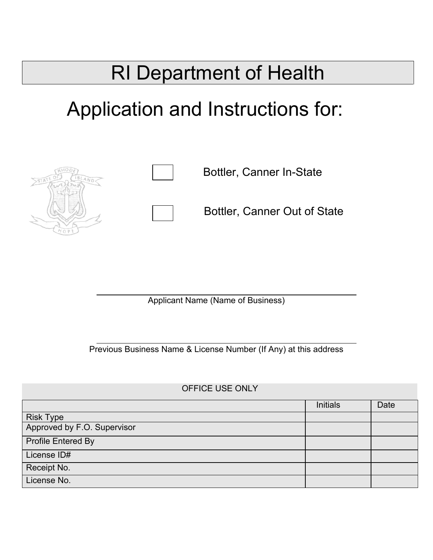# RI Department of Health

# Application and Instructions for:





Bottler, Canner In-State

Bottler, Canner Out of State

Applicant Name (Name of Business)

Previous Business Name & License Number (If Any) at this address

#### OFFICE USE ONLY

|                             | <b>Initials</b> | Date |
|-----------------------------|-----------------|------|
| <b>Risk Type</b>            |                 |      |
| Approved by F.O. Supervisor |                 |      |
| Profile Entered By          |                 |      |
| License ID#                 |                 |      |
| Receipt No.                 |                 |      |
| License No.                 |                 |      |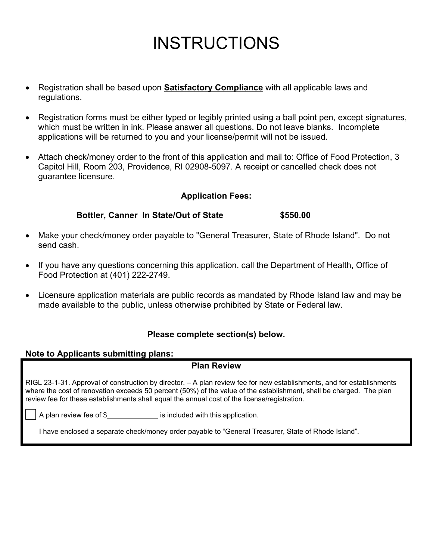## **INSTRUCTIONS**

- Registration shall be based upon **Satisfactory Compliance** with all applicable laws and regulations.
- Registration forms must be either typed or legibly printed using a ball point pen, except signatures, which must be written in ink. Please answer all questions. Do not leave blanks. Incomplete applications will be returned to you and your license/permit will not be issued.
- Attach check/money order to the front of this application and mail to: Office of Food Protection, 3 Capitol Hill, Room 203, Providence, RI 02908-5097. A receipt or cancelled check does not guarantee licensure.

#### **Application Fees:**

#### **Bottler, Canner In State/Out of State \$550.00**

- Make your check/money order payable to "General Treasurer, State of Rhode Island". Do not send cash.
- If you have any questions concerning this application, call the Department of Health, Office of Food Protection at (401) 222-2749.
- Licensure application materials are public records as mandated by Rhode Island law and may be made available to the public, unless otherwise prohibited by State or Federal law.

#### **Please complete section(s) below.**

#### **Note to Applicants submitting plans:**

#### **Plan Review**

RIGL 23-1-31. Approval of construction by director. – A plan review fee for new establishments, and for establishments where the cost of renovation exceeds 50 percent (50%) of the value of the establishment, shall be charged. The plan review fee for these establishments shall equal the annual cost of the license/registration.  $\overline{a}$ 

A plan review fee of \$\_\_\_\_\_\_\_\_\_\_\_\_\_\_\_\_\_ is included with this application.

I have enclosed a separate check/money order payable to "General Treasurer, State of Rhode Island".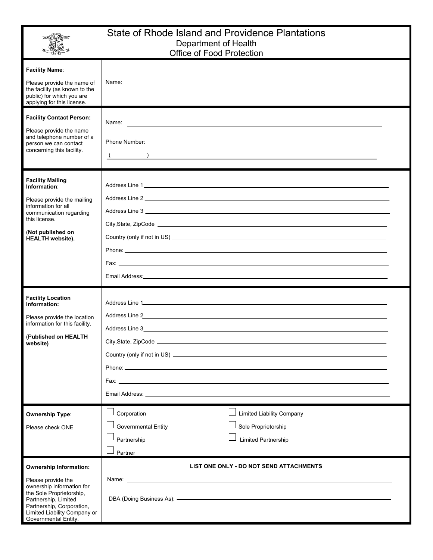

#### State of Rhode Island and Providence Plantations Department of Health Office of Food Protection

|                                                                                                                                                                                                                           | <b>OTILLE OF FOUR FTUILE LUIT</b>                                                                                                                                                                                                                                        |  |
|---------------------------------------------------------------------------------------------------------------------------------------------------------------------------------------------------------------------------|--------------------------------------------------------------------------------------------------------------------------------------------------------------------------------------------------------------------------------------------------------------------------|--|
| <b>Facility Name:</b><br>Please provide the name of<br>the facility (as known to the<br>public) for which you are<br>applying for this license.                                                                           |                                                                                                                                                                                                                                                                          |  |
| <b>Facility Contact Person:</b><br>Please provide the name<br>and telephone number of a<br>person we can contact<br>concerning this facility.                                                                             | Name:<br><u> Andreas Andreas Andreas Andreas Andreas Andreas Andreas Andreas Andreas Andreas Andreas Andreas Andreas Andr</u><br>Phone Number:<br>$\left(\begin{array}{cc} 0 & 1 \end{array}\right)$                                                                     |  |
| <b>Facility Mailing</b><br>Information:<br>Please provide the mailing<br>information for all<br>communication regarding<br>this license.<br>(Not published on<br><b>HEALTH</b> website).                                  | Email Address: University of the Contract of the Contract of the Contract of the Contract of the Contract of the Contract of the Contract of the Contract of the Contract of the Contract of the Contract of the Contract of t                                           |  |
| <b>Facility Location</b><br>Information:<br>Please provide the location<br>information for this facility.<br>(Published on HEALTH<br>website)                                                                             | Fax:<br><u> 1989 - Johann Stein, marwolaethau a bhann an t-Amhair an t-Amhair an t-Amhair an t-Amhair an t-Amhair an t-A</u>                                                                                                                                             |  |
| <b>Ownership Type:</b><br>Please check ONE                                                                                                                                                                                | Corporation<br><b>Limited Liability Company</b><br><b>Governmental Entity</b><br>Sole Proprietorship<br>Limited Partnership<br>Partnership<br>Partner                                                                                                                    |  |
| <b>Ownership Information:</b><br>Please provide the<br>ownership information for<br>the Sole Proprietorship,<br>Partnership, Limited<br>Partnership, Corporation,<br>Limited Liability Company or<br>Governmental Entity. | LIST ONE ONLY - DO NOT SEND ATTACHMENTS<br>Name: Name: Name: Name: Name: Name: Name: Name: Name: Name: Name: Name: Name: Name: Name: Name: Name: Name: Name: Name: Name: Name: Name: Name: Name: Name: Name: Name: Name: Name: Name: Name: Name: Name: Name: Name: Name: |  |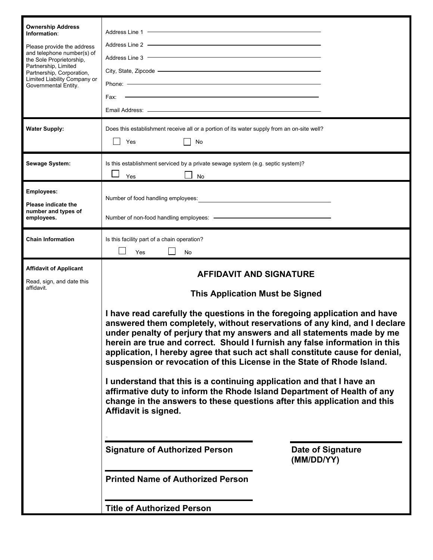| <b>Ownership Address</b><br>Information:<br>Please provide the address<br>and telephone number(s) of<br>the Sole Proprietorship,<br>Partnership, Limited<br>Partnership, Corporation,<br>Limited Liability Company or<br>Governmental Entity. | Address Line 2 - The Commission of the Commission of the Commission of the Commission of the Commission of the Commission of the Commission of the Commission of the Commission of the Commission of the Commission of the Com<br>Address Line 3 <b>Contract Contract Contract Contract Contract Contract Contract Contract Contract Contract Contract Contract Contract Contract Contract Contract Contract Contract Contract Contract Contract Contract Contract</b><br>City, State, Zipcode – City, State, Zipcode – City, State, Zipcode – City, State, Zipcode – City, State, Zipcode – City, State, Zipcode – City, State, Zipcode – City, State, Zipcode – City, State, Zipcode – City, State, Zi<br>Fax: -                |                                        |  |
|-----------------------------------------------------------------------------------------------------------------------------------------------------------------------------------------------------------------------------------------------|-----------------------------------------------------------------------------------------------------------------------------------------------------------------------------------------------------------------------------------------------------------------------------------------------------------------------------------------------------------------------------------------------------------------------------------------------------------------------------------------------------------------------------------------------------------------------------------------------------------------------------------------------------------------------------------------------------------------------------------|----------------------------------------|--|
| <b>Water Supply:</b>                                                                                                                                                                                                                          | Does this establishment receive all or a portion of its water supply from an on-site well?<br>Yes<br>No                                                                                                                                                                                                                                                                                                                                                                                                                                                                                                                                                                                                                           |                                        |  |
| Sewage System:                                                                                                                                                                                                                                | Is this establishment serviced by a private sewage system (e.g. septic system)?<br>Yes<br><b>No</b>                                                                                                                                                                                                                                                                                                                                                                                                                                                                                                                                                                                                                               |                                        |  |
| <b>Employees:</b><br><b>Please indicate the</b><br>number and types of<br>employees.                                                                                                                                                          | Number of food handling employees:<br><u> and the contract of the contract of the contract of the contract of the contract of the contract of the contract of the contract of the contract of the contract of the contract of the </u>                                                                                                                                                                                                                                                                                                                                                                                                                                                                                            |                                        |  |
| <b>Chain Information</b>                                                                                                                                                                                                                      | Is this facility part of a chain operation?<br>Yes<br><b>No</b>                                                                                                                                                                                                                                                                                                                                                                                                                                                                                                                                                                                                                                                                   |                                        |  |
| <b>Affidavit of Applicant</b><br>Read, sign, and date this<br>affidavit.                                                                                                                                                                      | <b>AFFIDAVIT AND SIGNATURE</b><br><b>This Application Must be Signed</b>                                                                                                                                                                                                                                                                                                                                                                                                                                                                                                                                                                                                                                                          |                                        |  |
|                                                                                                                                                                                                                                               | I have read carefully the questions in the foregoing application and have<br>answered them completely, without reservations of any kind, and I declare<br>under penalty of perjury that my answers and all statements made by me<br>herein are true and correct. Should I furnish any false information in this<br>application, I hereby agree that such act shall constitute cause for denial,<br>suspension or revocation of this License in the State of Rhode Island.<br>I understand that this is a continuing application and that I have an<br>affirmative duty to inform the Rhode Island Department of Health of any<br>change in the answers to these questions after this application and this<br>Affidavit is signed. |                                        |  |
|                                                                                                                                                                                                                                               | <b>Signature of Authorized Person</b>                                                                                                                                                                                                                                                                                                                                                                                                                                                                                                                                                                                                                                                                                             | <b>Date of Signature</b><br>(MM/DD/YY) |  |
|                                                                                                                                                                                                                                               | <b>Printed Name of Authorized Person</b>                                                                                                                                                                                                                                                                                                                                                                                                                                                                                                                                                                                                                                                                                          |                                        |  |
|                                                                                                                                                                                                                                               | <b>Title of Authorized Person</b>                                                                                                                                                                                                                                                                                                                                                                                                                                                                                                                                                                                                                                                                                                 |                                        |  |